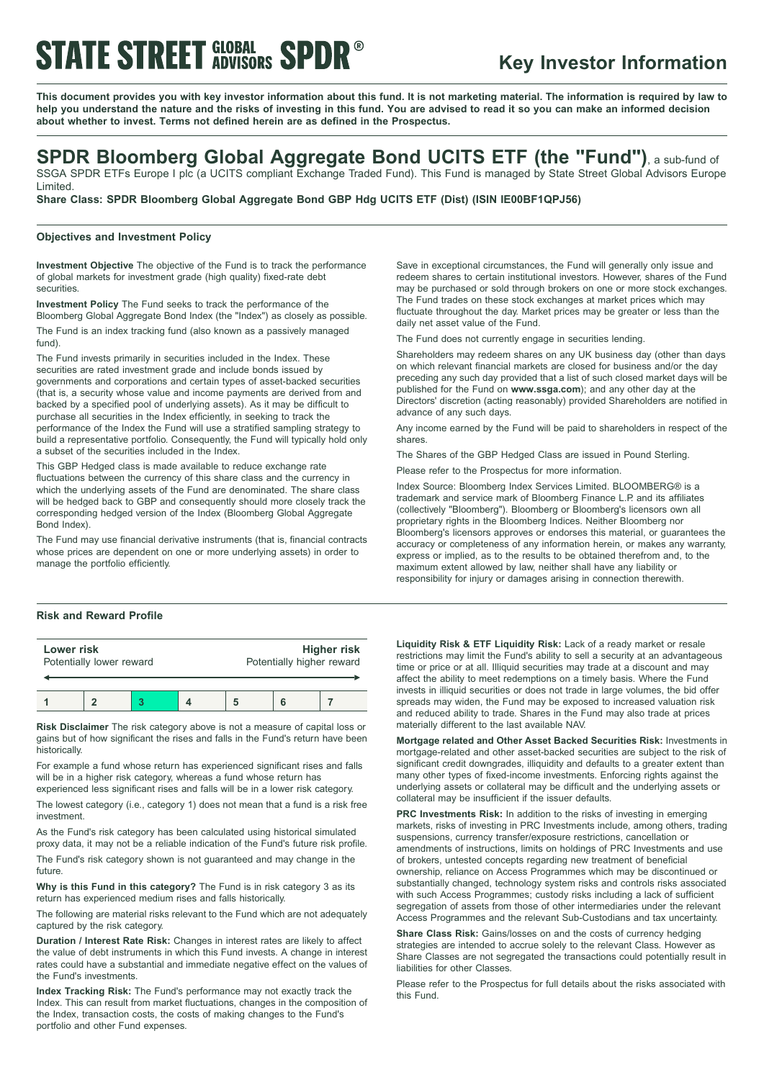# **STATE STREET GLOBAL SPDR®**

## **Key Investor Information**

This document provides you with key investor information about this fund. It is not marketing material. The information is required by law to help you understand the nature and the risks of investing in this fund. You are advised to read it so you can make an informed decision **about whether to invest. Terms not defined herein are as defined in the Prospectus.**

# **SPDR Bloomberg Global Aggregate Bond UCITS ETF (the "Fund")**, <sup>a</sup> sub-fund of

SSGA SPDR ETFs Europe I plc (a UCITS compliant Exchange Traded Fund). This Fund is managed by State Street Global Advisors Europe Limited.

**Share Class: SPDR Bloomberg Global Aggregate Bond GBP Hdg UCITS ETF (Dist) (ISIN IE00BF1QPJ56)**

### **Objectives and Investment Policy**

**Investment Objective** The objective of the Fund is to track the performance of global markets for investment grade (high quality) fixed-rate debt securities.

**Investment Policy** The Fund seeks to track the performance of the Bloomberg Global Aggregate Bond Index (the "Index") as closely as possible. The Fund is an index tracking fund (also known as a passively managed fund).

The Fund invests primarily in securities included in the Index. These securities are rated investment grade and include bonds issued by governments and corporations and certain types of asset-backed securities (that is, a security whose value and income payments are derived from and backed by a specified pool of underlying assets). As it may be difficult to purchase all securities in the Index efficiently, in seeking to track the performance of the Index the Fund will use a stratified sampling strategy to build a representative portfolio. Consequently, the Fund will typically hold only a subset of the securities included in the Index.

This GBP Hedged class is made available to reduce exchange rate fluctuations between the currency of this share class and the currency in which the underlying assets of the Fund are denominated. The share class will be hedged back to GBP and consequently should more closely track the corresponding hedged version of the Index (Bloomberg Global Aggregate Bond Index).

The Fund may use financial derivative instruments (that is, financial contracts whose prices are dependent on one or more underlying assets) in order to manage the portfolio efficiently.

## **Risk and Reward Profile**

| Lower risk               |  |  |  | <b>Higher risk</b>        |  |  |
|--------------------------|--|--|--|---------------------------|--|--|
| Potentially lower reward |  |  |  | Potentially higher reward |  |  |
|                          |  |  |  |                           |  |  |

**Risk Disclaimer** The risk category above is not a measure of capital loss or gains but of how significant the rises and falls in the Fund's return have been historically.

For example a fund whose return has experienced significant rises and falls will be in a higher risk category, whereas a fund whose return has experienced less significant rises and falls will be in a lower risk category.

The lowest category (i.e., category 1) does not mean that a fund is a risk free investment.

As the Fund's risk category has been calculated using historical simulated proxy data, it may not be a reliable indication of the Fund's future risk profile.

The Fund's risk category shown is not guaranteed and may change in the future.

**Why is this Fund in this category?** The Fund is in risk category 3 as its return has experienced medium rises and falls historically.

The following are material risks relevant to the Fund which are not adequately captured by the risk category.

**Duration / Interest Rate Risk:** Changes in interest rates are likely to affect the value of debt instruments in which this Fund invests. A change in interest rates could have a substantial and immediate negative effect on the values of the Fund's investments.

**Index Tracking Risk:** The Fund's performance may not exactly track the Index. This can result from market fluctuations, changes in the composition of the Index, transaction costs, the costs of making changes to the Fund's portfolio and other Fund expenses.

Save in exceptional circumstances, the Fund will generally only issue and redeem shares to certain institutional investors. However, shares of the Fund may be purchased or sold through brokers on one or more stock exchanges. The Fund trades on these stock exchanges at market prices which may fluctuate throughout the day. Market prices may be greater or less than the daily net asset value of the Fund.

The Fund does not currently engage in securities lending.

Shareholders may redeem shares on any UK business day (other than days on which relevant financial markets are closed for business and/or the day preceding any such day provided that a list of such closed market days will be published for the Fund on **www.ssga.com**); and any other day at the Directors' discretion (acting reasonably) provided Shareholders are notified in advance of any such days.

Any income earned by the Fund will be paid to shareholders in respect of the shares.

The Shares of the GBP Hedged Class are issued in Pound Sterling.

Please refer to the Prospectus for more information.

Index Source: Bloomberg Index Services Limited. BLOOMBERG® is a trademark and service mark of Bloomberg Finance L.P. and its affiliates (collectively "Bloomberg"). Bloomberg or Bloomberg's licensors own all proprietary rights in the Bloomberg Indices. Neither Bloomberg nor Bloomberg's licensors approves or endorses this material, or guarantees the accuracy or completeness of any information herein, or makes any warranty, express or implied, as to the results to be obtained therefrom and, to the maximum extent allowed by law, neither shall have any liability or responsibility for injury or damages arising in connection therewith.

**Liquidity Risk & ETF Liquidity Risk:** Lack of a ready market or resale restrictions may limit the Fund's ability to sell a security at an advantageous time or price or at all. Illiquid securities may trade at a discount and may affect the ability to meet redemptions on a timely basis. Where the Fund invests in illiquid securities or does not trade in large volumes, the bid offer spreads may widen, the Fund may be exposed to increased valuation risk and reduced ability to trade. Shares in the Fund may also trade at prices materially different to the last available NAV.

**Mortgage related and Other Asset Backed Securities Risk:** Investments in mortgage-related and other asset-backed securities are subject to the risk of significant credit downgrades, illiquidity and defaults to a greater extent than many other types of fixed-income investments. Enforcing rights against the underlying assets or collateral may be difficult and the underlying assets or collateral may be insufficient if the issuer defaults.

**PRC Investments Risk:** In addition to the risks of investing in emerging markets, risks of investing in PRC Investments include, among others, trading suspensions, currency transfer/exposure restrictions, cancellation or amendments of instructions, limits on holdings of PRC Investments and use of brokers, untested concepts regarding new treatment of beneficial ownership, reliance on Access Programmes which may be discontinued or substantially changed, technology system risks and controls risks associated with such Access Programmes; custody risks including a lack of sufficient segregation of assets from those of other intermediaries under the relevant Access Programmes and the relevant Sub-Custodians and tax uncertainty.

**Share Class Risk:** Gains/losses on and the costs of currency hedging strategies are intended to accrue solely to the relevant Class. However as Share Classes are not segregated the transactions could potentially result in liabilities for other Classes.

Please refer to the Prospectus for full details about the risks associated with this Fund.